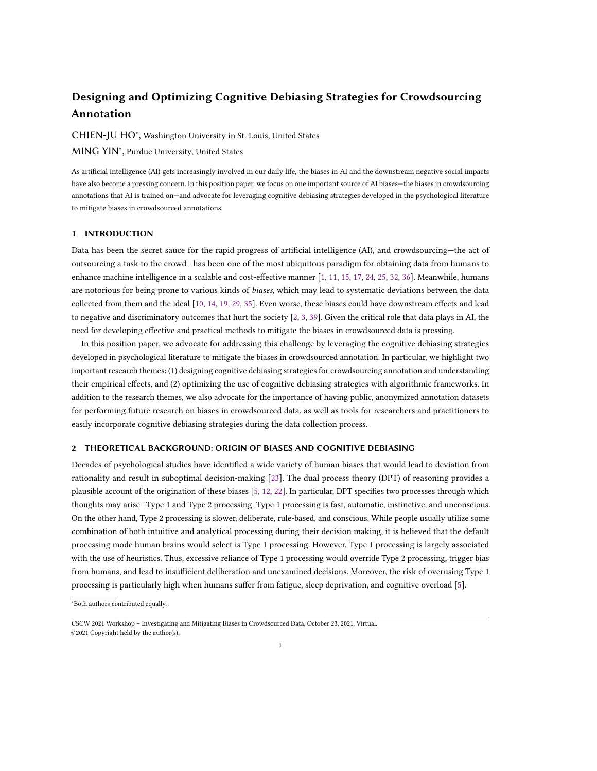# Designing and Optimizing Cognitive Debiasing Strategies for Crowdsourcing Annotation

CHIEN-JU HO<sup>∗</sup> , Washington University in St. Louis, United States

MING YIN<sup>∗</sup> , Purdue University, United States

As artificial intelligence (AI) gets increasingly involved in our daily life, the biases in AI and the downstream negative social impacts have also become a pressing concern. In this position paper, we focus on one important source of AI biases—the biases in crowdsourcing annotations that AI is trained on—and advocate for leveraging cognitive debiasing strategies developed in the psychological literature to mitigate biases in crowdsourced annotations.

### 1 INTRODUCTION

Data has been the secret sauce for the rapid progress of artificial intelligence (AI), and crowdsourcing—the act of outsourcing a task to the crowd—has been one of the most ubiquitous paradigm for obtaining data from humans to enhance machine intelligence in a scalable and cost-effective manner [\[1,](#page-3-0) [11,](#page-3-1) [15,](#page-3-2) [17,](#page-3-3) [24,](#page-3-4) [25,](#page-3-5) [32,](#page-4-0) [36\]](#page-4-1). Meanwhile, humans are notorious for being prone to various kinds of *biases*, which may lead to systematic deviations between the data collected from them and the ideal [\[10,](#page-3-6) [14,](#page-3-7) [19,](#page-3-8) [29,](#page-3-9) [35\]](#page-4-2). Even worse, these biases could have downstream effects and lead to negative and discriminatory outcomes that hurt the society [\[2,](#page-3-10) [3,](#page-3-11) [39\]](#page-4-3). Given the critical role that data plays in AI, the need for developing effective and practical methods to mitigate the biases in crowdsourced data is pressing.

In this position paper, we advocate for addressing this challenge by leveraging the cognitive debiasing strategies developed in psychological literature to mitigate the biases in crowdsourced annotation. In particular, we highlight two important research themes: (1) designing cognitive debiasing strategies for crowdsourcing annotation and understanding their empirical effects, and (2) optimizing the use of cognitive debiasing strategies with algorithmic frameworks. In addition to the research themes, we also advocate for the importance of having public, anonymized annotation datasets for performing future research on biases in crowdsourced data, as well as tools for researchers and practitioners to easily incorporate cognitive debiasing strategies during the data collection process.

# 2 THEORETICAL BACKGROUND: ORIGIN OF BIASES AND COGNITIVE DEBIASING

Decades of psychological studies have identified a wide variety of human biases that would lead to deviation from rationality and result in suboptimal decision-making [\[23\]](#page-3-12). The dual process theory (DPT) of reasoning provides a plausible account of the origination of these biases [\[5,](#page-3-13) [12,](#page-3-14) [22\]](#page-3-15). In particular, DPT specifies two processes through which thoughts may arise—Type 1 and Type 2 processing. Type 1 processing is fast, automatic, instinctive, and unconscious. On the other hand, Type 2 processing is slower, deliberate, rule-based, and conscious. While people usually utilize some combination of both intuitive and analytical processing during their decision making, it is believed that the default processing mode human brains would select is Type 1 processing. However, Type 1 processing is largely associated with the use of heuristics. Thus, excessive reliance of Type 1 processing would override Type 2 processing, trigger bias from humans, and lead to insufficient deliberation and unexamined decisions. Moreover, the risk of overusing Type 1 processing is particularly high when humans suffer from fatigue, sleep deprivation, and cognitive overload [\[5\]](#page-3-13).

<sup>∗</sup>Both authors contributed equally.

CSCW 2021 Workshop – Investigating and Mitigating Biases in Crowdsourced Data, October 23, 2021, Virtual. ©2021 Copyright held by the author(s).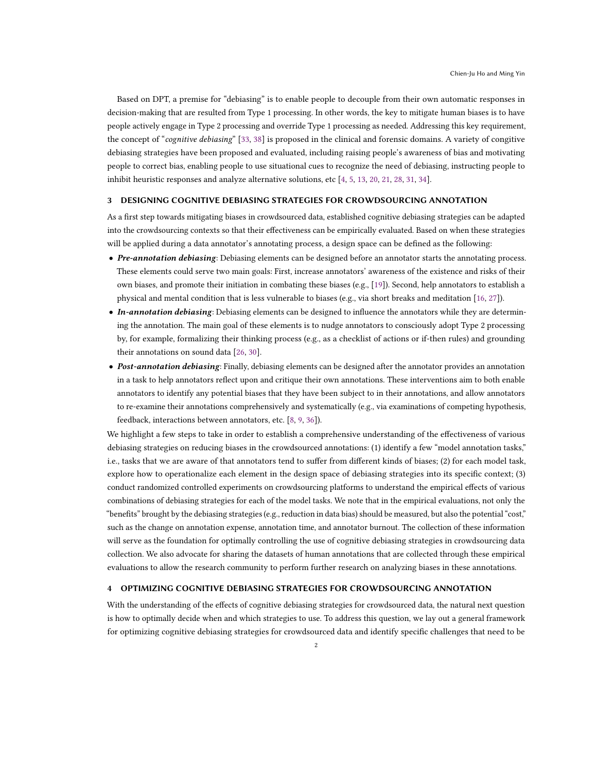Based on DPT, a premise for "debiasing" is to enable people to decouple from their own automatic responses in decision-making that are resulted from Type 1 processing. In other words, the key to mitigate human biases is to have people actively engage in Type 2 processing and override Type 1 processing as needed. Addressing this key requirement, the concept of "cognitive debiasing" [\[33,](#page-4-4) [38\]](#page-4-5) is proposed in the clinical and forensic domains. A variety of congitive debiasing strategies have been proposed and evaluated, including raising people's awareness of bias and motivating people to correct bias, enabling people to use situational cues to recognize the need of debiasing, instructing people to inhibit heuristic responses and analyze alternative solutions, etc [\[4,](#page-3-16) [5,](#page-3-13) [13,](#page-3-17) [20,](#page-3-18) [21,](#page-3-19) [28,](#page-3-20) [31,](#page-4-6) [34\]](#page-4-7).

#### 3 DESIGNING COGNITIVE DEBIASING STRATEGIES FOR CROWDSOURCING ANNOTATION

As a first step towards mitigating biases in crowdsourced data, established cognitive debiasing strategies can be adapted into the crowdsourcing contexts so that their effectiveness can be empirically evaluated. Based on when these strategies will be applied during a data annotator's annotating process, a design space can be defined as the following:

- Pre-annotation debiasing: Debiasing elements can be designed before an annotator starts the annotating process. These elements could serve two main goals: First, increase annotators' awareness of the existence and risks of their own biases, and promote their initiation in combating these biases (e.g., [\[19\]](#page-3-8)). Second, help annotators to establish a physical and mental condition that is less vulnerable to biases (e.g., via short breaks and meditation [\[16,](#page-3-21) [27\]](#page-3-22)).
- In-annotation debiasing: Debiasing elements can be designed to influence the annotators while they are determining the annotation. The main goal of these elements is to nudge annotators to consciously adopt Type 2 processing by, for example, formalizing their thinking process (e.g., as a checklist of actions or if-then rules) and grounding their annotations on sound data [\[26,](#page-3-23) [30\]](#page-3-24).
- Post-annotation debiasing: Finally, debiasing elements can be designed after the annotator provides an annotation in a task to help annotators reflect upon and critique their own annotations. These interventions aim to both enable annotators to identify any potential biases that they have been subject to in their annotations, and allow annotators to re-examine their annotations comprehensively and systematically (e.g., via examinations of competing hypothesis, feedback, interactions between annotators, etc. [\[8,](#page-3-25) [9,](#page-3-26) [36\]](#page-4-1)).

We highlight a few steps to take in order to establish a comprehensive understanding of the effectiveness of various debiasing strategies on reducing biases in the crowdsourced annotations: (1) identify a few "model annotation tasks," i.e., tasks that we are aware of that annotators tend to suffer from different kinds of biases; (2) for each model task, explore how to operationalize each element in the design space of debiasing strategies into its specific context; (3) conduct randomized controlled experiments on crowdsourcing platforms to understand the empirical effects of various combinations of debiasing strategies for each of the model tasks. We note that in the empirical evaluations, not only the "benefits" brought by the debiasing strategies (e.g., reduction in data bias) should be measured, but also the potential "cost," such as the change on annotation expense, annotation time, and annotator burnout. The collection of these information will serve as the foundation for optimally controlling the use of cognitive debiasing strategies in crowdsourcing data collection. We also advocate for sharing the datasets of human annotations that are collected through these empirical evaluations to allow the research community to perform further research on analyzing biases in these annotations.

# 4 OPTIMIZING COGNITIVE DEBIASING STRATEGIES FOR CROWDSOURCING ANNOTATION

With the understanding of the effects of cognitive debiasing strategies for crowdsourced data, the natural next question is how to optimally decide when and which strategies to use. To address this question, we lay out a general framework for optimizing cognitive debiasing strategies for crowdsourced data and identify specific challenges that need to be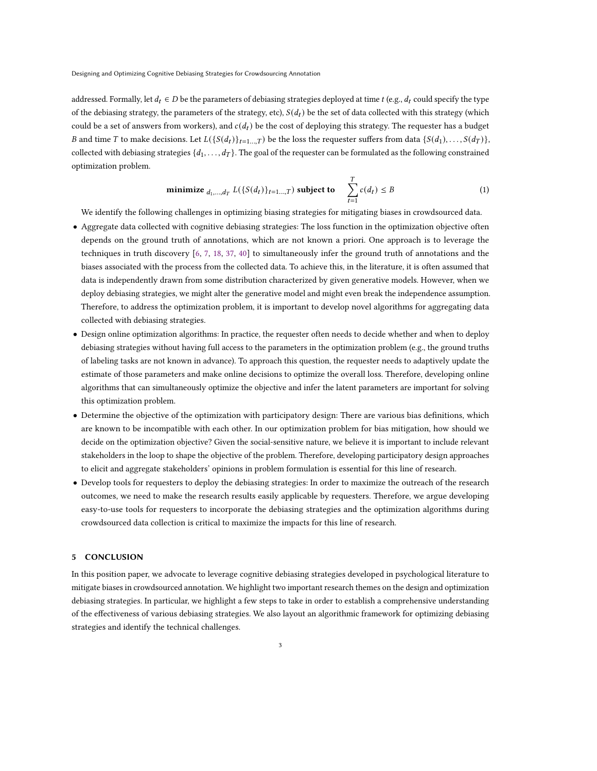Designing and Optimizing Cognitive Debiasing Strategies for Crowdsourcing Annotation

addressed. Formally, let  $d_t \in D$  be the parameters of debiasing strategies deployed at time  $t$  (e.g.,  $d_t$  could specify the type of the debiasing strategy, the parameters of the strategy, etc),  $S(d_t)$  be the set of data collected with this strategy (which could be a set of answers from workers), and  $c(d_t)$  be the cost of deploying this strategy. The requester has a budget B and time T to make decisions. Let  $L({S(d_t)}_{t=1...T})$  be the loss the requester suffers from data  ${S(d_1),...,S(d_T)}$ , collected with debiasing strategies  $\{d_1, \ldots, d_T\}$ . The goal of the requester can be formulated as the following constrained optimization problem.

$$
\text{minimize }_{d_1,\dots,d_T} L(\{S(d_t)\}_{t=1\dots,T}) \text{ subject to } \sum_{t=1}^T c(d_t) \leq B \tag{1}
$$

We identify the following challenges in optimizing biasing strategies for mitigating biases in crowdsourced data.

- Aggregate data collected with cognitive debiasing strategies: The loss function in the optimization objective often depends on the ground truth of annotations, which are not known a priori. One approach is to leverage the techniques in truth discovery [\[6,](#page-3-27) [7,](#page-3-28) [18,](#page-3-29) [37,](#page-4-8) [40\]](#page-4-9) to simultaneously infer the ground truth of annotations and the biases associated with the process from the collected data. To achieve this, in the literature, it is often assumed that data is independently drawn from some distribution characterized by given generative models. However, when we deploy debiasing strategies, we might alter the generative model and might even break the independence assumption. Therefore, to address the optimization problem, it is important to develop novel algorithms for aggregating data collected with debiasing strategies.
- Design online optimization algorithms: In practice, the requester often needs to decide whether and when to deploy debiasing strategies without having full access to the parameters in the optimization problem (e.g., the ground truths of labeling tasks are not known in advance). To approach this question, the requester needs to adaptively update the estimate of those parameters and make online decisions to optimize the overall loss. Therefore, developing online algorithms that can simultaneously optimize the objective and infer the latent parameters are important for solving this optimization problem.
- Determine the objective of the optimization with participatory design: There are various bias definitions, which are known to be incompatible with each other. In our optimization problem for bias mitigation, how should we decide on the optimization objective? Given the social-sensitive nature, we believe it is important to include relevant stakeholders in the loop to shape the objective of the problem. Therefore, developing participatory design approaches to elicit and aggregate stakeholders' opinions in problem formulation is essential for this line of research.
- Develop tools for requesters to deploy the debiasing strategies: In order to maximize the outreach of the research outcomes, we need to make the research results easily applicable by requesters. Therefore, we argue developing easy-to-use tools for requesters to incorporate the debiasing strategies and the optimization algorithms during crowdsourced data collection is critical to maximize the impacts for this line of research.

## 5 CONCLUSION

In this position paper, we advocate to leverage cognitive debiasing strategies developed in psychological literature to mitigate biases in crowdsourced annotation. We highlight two important research themes on the design and optimization debiasing strategies. In particular, we highlight a few steps to take in order to establish a comprehensive understanding of the effectiveness of various debiasing strategies. We also layout an algorithmic framework for optimizing debiasing strategies and identify the technical challenges.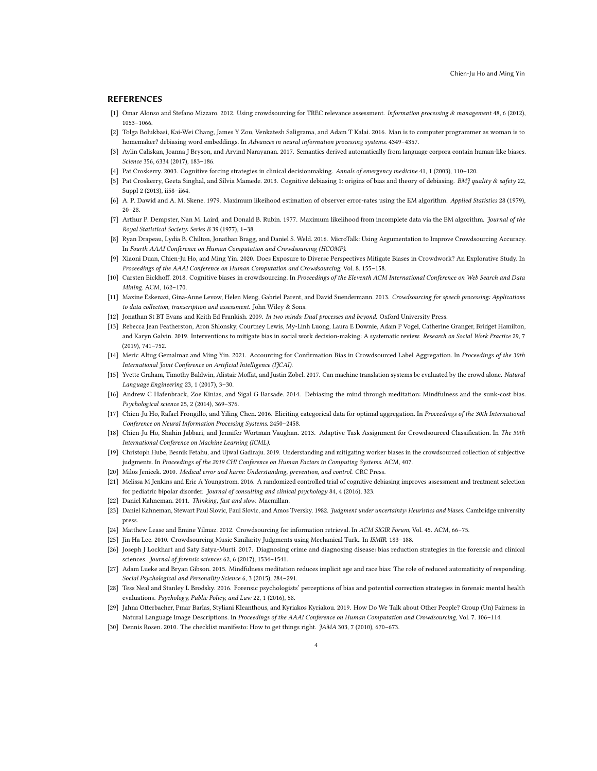#### REFERENCES

- <span id="page-3-0"></span>[1] Omar Alonso and Stefano Mizzaro. 2012. Using crowdsourcing for TREC relevance assessment. Information processing & management 48, 6 (2012), 1053–1066.
- <span id="page-3-10"></span>[2] Tolga Bolukbasi, Kai-Wei Chang, James Y Zou, Venkatesh Saligrama, and Adam T Kalai. 2016. Man is to computer programmer as woman is to homemaker? debiasing word embeddings. In Advances in neural information processing systems. 4349-4357.
- <span id="page-3-11"></span>[3] Aylin Caliskan, Joanna J Bryson, and Arvind Narayanan. 2017. Semantics derived automatically from language corpora contain human-like biases. Science 356, 6334 (2017), 183–186.
- <span id="page-3-16"></span><span id="page-3-13"></span>[4] Pat Croskerry. 2003. Cognitive forcing strategies in clinical decisionmaking. Annals of emergency medicine 41, 1 (2003), 110–120.
- [5] Pat Croskerry, Geeta Singhal, and Sílvia Mamede. 2013. Cognitive debiasing 1: origins of bias and theory of debiasing. BMJ quality & safety 22, Suppl 2 (2013), ii58–ii64.
- <span id="page-3-27"></span>[6] A. P. Dawid and A. M. Skene. 1979. Maximum likeihood estimation of observer error-rates using the EM algorithm. Applied Statistics 28 (1979), 20–28.
- <span id="page-3-28"></span>[7] Arthur P. Dempster, Nan M. Laird, and Donald B. Rubin. 1977. Maximum likelihood from incomplete data via the EM algorithm. Journal of the Royal Statistical Society: Series B 39 (1977), 1–38.
- <span id="page-3-25"></span>[8] Ryan Drapeau, Lydia B. Chilton, Jonathan Bragg, and Daniel S. Weld. 2016. MicroTalk: Using Argumentation to Improve Crowdsourcing Accuracy. In Fourth AAAI Conference on Human Computation and Crowdsourcing (HCOMP).
- <span id="page-3-26"></span>[9] Xiaoni Duan, Chien-Ju Ho, and Ming Yin. 2020. Does Exposure to Diverse Perspectives Mitigate Biases in Crowdwork? An Explorative Study. In Proceedings of the AAAI Conference on Human Computation and Crowdsourcing, Vol. 8. 155–158.
- <span id="page-3-6"></span>[10] Carsten Eickhoff. 2018. Cognitive biases in crowdsourcing. In Proceedings of the Eleventh ACM International Conference on Web Search and Data Mining. ACM, 162–170.
- <span id="page-3-1"></span>[11] Maxine Eskenazi, Gina-Anne Levow, Helen Meng, Gabriel Parent, and David Suendermann. 2013. Crowdsourcing for speech processing: Applications to data collection, transcription and assessment. John Wiley & Sons.
- <span id="page-3-14"></span>[12] Jonathan St BT Evans and Keith Ed Frankish. 2009. In two minds: Dual processes and beyond. Oxford University Press.
- <span id="page-3-17"></span>[13] Rebecca Jean Featherston, Aron Shlonsky, Courtney Lewis, My-Linh Luong, Laura E Downie, Adam P Vogel, Catherine Granger, Bridget Hamilton, and Karyn Galvin. 2019. Interventions to mitigate bias in social work decision-making: A systematic review. Research on Social Work Practice 29, 7 (2019), 741–752.
- <span id="page-3-7"></span>[14] Meric Altug Gemalmaz and Ming Yin. 2021. Accounting for Confirmation Bias in Crowdsourced Label Aggregation. In Proceedings of the 30th International Joint Conference on Artificial Intelligence (IJCAI).
- <span id="page-3-2"></span>[15] Yvette Graham, Timothy Baldwin, Alistair Moffat, and Justin Zobel. 2017. Can machine translation systems be evaluated by the crowd alone. Natural Language Engineering 23, 1 (2017), 3–30.
- <span id="page-3-21"></span>[16] Andrew C Hafenbrack, Zoe Kinias, and Sigal G Barsade. 2014. Debiasing the mind through meditation: Mindfulness and the sunk-cost bias. Psychological science 25, 2 (2014), 369–376.
- <span id="page-3-3"></span>[17] Chien-Ju Ho, Rafael Frongillo, and Yiling Chen. 2016. Eliciting categorical data for optimal aggregation. In Proceedings of the 30th International Conference on Neural Information Processing Systems. 2450–2458.
- <span id="page-3-29"></span>[18] Chien-Ju Ho, Shahin Jabbari, and Jennifer Wortman Vaughan. 2013. Adaptive Task Assignment for Crowdsourced Classification. In The 30th International Conference on Machine Learning (ICML).
- <span id="page-3-8"></span>[19] Christoph Hube, Besnik Fetahu, and Ujwal Gadiraju. 2019. Understanding and mitigating worker biases in the crowdsourced collection of subjective judgments. In Proceedings of the 2019 CHI Conference on Human Factors in Computing Systems. ACM, 407.
- <span id="page-3-19"></span><span id="page-3-18"></span>[20] Milos Jenicek. 2010. Medical error and harm: Understanding, prevention, and control. CRC Press.
- [21] Melissa M Jenkins and Eric A Youngstrom. 2016. A randomized controlled trial of cognitive debiasing improves assessment and treatment selection for pediatric bipolar disorder. Journal of consulting and clinical psychology 84, 4 (2016), 323.
- <span id="page-3-15"></span>[22] Daniel Kahneman. 2011. Thinking, fast and slow. Macmillan.
- <span id="page-3-12"></span>[23] Daniel Kahneman, Stewart Paul Slovic, Paul Slovic, and Amos Tversky. 1982. Judgment under uncertainty: Heuristics and biases. Cambridge university press.
- <span id="page-3-4"></span>[24] Matthew Lease and Emine Yilmaz. 2012. Crowdsourcing for information retrieval. In ACM SIGIR Forum, Vol. 45. ACM, 66–75.
- <span id="page-3-5"></span>[25] Jin Ha Lee. 2010. Crowdsourcing Music Similarity Judgments using Mechanical Turk.. In ISMIR. 183–188.
- <span id="page-3-23"></span>[26] Joseph J Lockhart and Saty Satya-Murti. 2017. Diagnosing crime and diagnosing disease: bias reduction strategies in the forensic and clinical sciences. Journal of forensic sciences 62, 6 (2017), 1534–1541.
- <span id="page-3-22"></span>[27] Adam Lueke and Bryan Gibson. 2015. Mindfulness meditation reduces implicit age and race bias: The role of reduced automaticity of responding. Social Psychological and Personality Science 6, 3 (2015), 284–291.
- <span id="page-3-20"></span>[28] Tess Neal and Stanley L Brodsky. 2016. Forensic psychologists' perceptions of bias and potential correction strategies in forensic mental health evaluations. Psychology, Public Policy, and Law 22, 1 (2016), 58.
- <span id="page-3-9"></span>[29] Jahna Otterbacher, Pınar Barlas, Styliani Kleanthous, and Kyriakos Kyriakou. 2019. How Do We Talk about Other People? Group (Un) Fairness in Natural Language Image Descriptions. In Proceedings of the AAAI Conference on Human Computation and Crowdsourcing, Vol. 7. 106–114.
- <span id="page-3-24"></span>[30] Dennis Rosen. 2010. The checklist manifesto: How to get things right. JAMA 303, 7 (2010), 670–673.